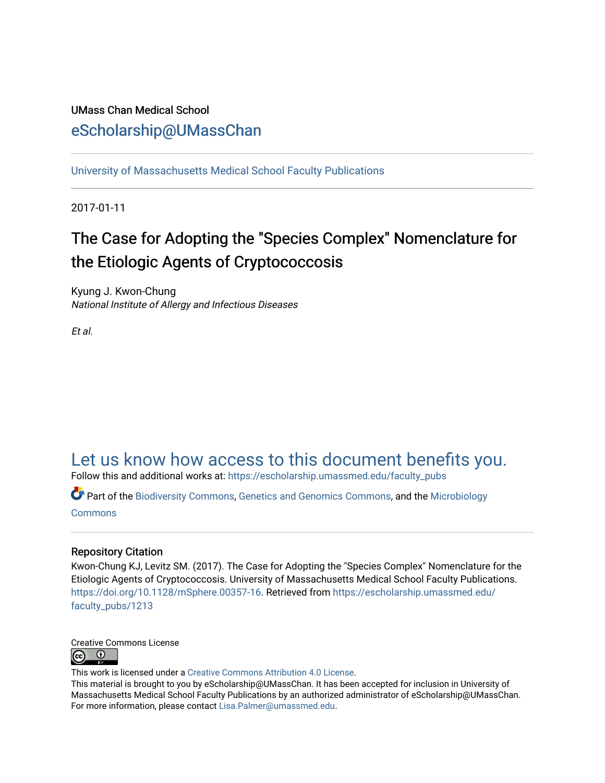### UMass Chan Medical School [eScholarship@UMassChan](https://escholarship.umassmed.edu/)

[University of Massachusetts Medical School Faculty Publications](https://escholarship.umassmed.edu/faculty_pubs)

2017-01-11

# The Case for Adopting the "Species Complex" Nomenclature for the Etiologic Agents of Cryptococcosis

Kyung J. Kwon-Chung National Institute of Allergy and Infectious Diseases

Et al.

## [Let us know how access to this document benefits you.](https://arcsapps.umassmed.edu/redcap/surveys/?s=XWRHNF9EJE)

Follow this and additional works at: [https://escholarship.umassmed.edu/faculty\\_pubs](https://escholarship.umassmed.edu/faculty_pubs?utm_source=escholarship.umassmed.edu%2Ffaculty_pubs%2F1213&utm_medium=PDF&utm_campaign=PDFCoverPages) 

Part of the [Biodiversity Commons](http://network.bepress.com/hgg/discipline/1127?utm_source=escholarship.umassmed.edu%2Ffaculty_pubs%2F1213&utm_medium=PDF&utm_campaign=PDFCoverPages), [Genetics and Genomics Commons,](http://network.bepress.com/hgg/discipline/27?utm_source=escholarship.umassmed.edu%2Ffaculty_pubs%2F1213&utm_medium=PDF&utm_campaign=PDFCoverPages) and the [Microbiology](http://network.bepress.com/hgg/discipline/48?utm_source=escholarship.umassmed.edu%2Ffaculty_pubs%2F1213&utm_medium=PDF&utm_campaign=PDFCoverPages) **[Commons](http://network.bepress.com/hgg/discipline/48?utm_source=escholarship.umassmed.edu%2Ffaculty_pubs%2F1213&utm_medium=PDF&utm_campaign=PDFCoverPages)** 

### Repository Citation

Kwon-Chung KJ, Levitz SM. (2017). The Case for Adopting the "Species Complex" Nomenclature for the Etiologic Agents of Cryptococcosis. University of Massachusetts Medical School Faculty Publications. <https://doi.org/10.1128/mSphere.00357-16>. Retrieved from [https://escholarship.umassmed.edu/](https://escholarship.umassmed.edu/faculty_pubs/1213?utm_source=escholarship.umassmed.edu%2Ffaculty_pubs%2F1213&utm_medium=PDF&utm_campaign=PDFCoverPages) [faculty\\_pubs/1213](https://escholarship.umassmed.edu/faculty_pubs/1213?utm_source=escholarship.umassmed.edu%2Ffaculty_pubs%2F1213&utm_medium=PDF&utm_campaign=PDFCoverPages)



This work is licensed under a [Creative Commons Attribution 4.0 License](http://creativecommons.org/licenses/by/4.0/).

This material is brought to you by eScholarship@UMassChan. It has been accepted for inclusion in University of Massachusetts Medical School Faculty Publications by an authorized administrator of eScholarship@UMassChan. For more information, please contact [Lisa.Palmer@umassmed.edu](mailto:Lisa.Palmer@umassmed.edu).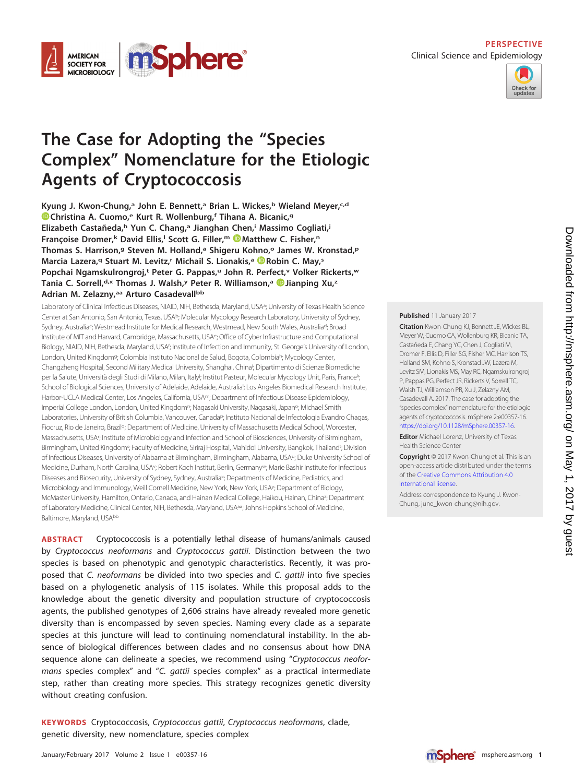



# **The Case for Adopting the "Species Complex" Nomenclature for the Etiologic Agents of Cryptococcosis**

Kyung J. Kwon-Chung,<sup>a</sup> John E. Bennett,<sup>a</sup> Brian L. Wickes,<sup>b</sup> Wieland Meyer,<sup>c,d</sup> **[Christina A. Cuomo,](http://orcid.org/0000-0002-5778-960X)e Kurt R. Wollenburg,f Tihana A. Bicanic,g Elizabeth Castañeda,h Yun C. Chang,a Jianghan Chen,i Massimo Cogliati,j Françoise Dromer,k David Ellis,l Scott G. Filler,m [Matthew C. Fisher,](http://orcid.org/0000-0002-1862-6402)n** Thomas S. Harrison,<sup>g</sup> Steven M. Holland,<sup>a</sup> Shigeru Kohno,<sup>o</sup> James W. Kronstad,<sup>p</sup> **Marcia Lazera,<sup>q</sup> Stuart M. Levitz,<sup>r</sup> Michail S. Lionakis,<sup>a</sup> D[Robin C. May,](http://orcid.org/0000-0001-5364-1838)<sup>***s***</sup>** Popchai Ngamskulrongroj,<sup>†</sup> Peter G. Pappas,<sup>u</sup> John R. Perfect,<sup>v</sup> Volker Rickerts,<sup>w</sup> **Tania C. Sorrell,d,x Thomas J. Walsh,y Peter R. Williamson,a [Jianping Xu,](http://orcid.org/0000-0003-2915-2780)z Adrian M. Zelazny,aa Arturo Casadevallbb**

Laboratory of Clinical Infectious Diseases, NIAID, NIH, Bethesda, Maryland, USA<sup>a</sup>; University of Texas Health Science Center at San Antonio, San Antonio, Texas, USAb; Molecular Mycology Research Laboratory, University of Sydney, Sydney, Australia<sup>c</sup>; Westmead Institute for Medical Research, Westmead, New South Wales, Australia<sup>d</sup>; Broad Institute of MIT and Harvard, Cambridge, Massachusetts, USAe ; Office of Cyber Infrastructure and Computational Biology, NIAID, NIH, Bethesda, Maryland, USA<sup>f</sup>; Institute of Infection and Immunity, St. George's University of London, London, United Kingdomg; Colombia Instituto Nacional de Salud, Bogota, Colombiah; Mycology Center, Changzheng Hospital, Second Military Medical University, Shanghai, Chinai ; Dipartimento di Scienze Biomediche per la Salute, Università degli Studi di Milano, Milan, Italy<sup>i</sup>; Institut Pasteur, Molecular Mycology Unit, Paris, France<sup>k</sup> ; School of Biological Sciences, University of Adelaide, Adelaide, Australia<sup>!</sup>; Los Angeles Biomedical Research Institute, Harbor-UCLA Medical Center, Los Angeles, California, USA<sup>m</sup>; Department of Infectious Disease Epidemiology, Imperial College London, London, United Kingdom<sup>n</sup>; Nagasaki University, Nagasaki, Japan<sup>o</sup>; Michael Smith Laboratories, University of British Columbia, Vancouver, Canada<sup>p</sup>; Instituto Nacional de Infectologia Evandro Chagas, Fiocruz, Rio de Janeiro, Brazil<sup>q</sup>; Department of Medicine, University of Massachusetts Medical School, Worcester, Massachusetts, USA<sup>r</sup>; Institute of Microbiology and Infection and School of Biosciences, University of Birmingham, Birmingham, United Kingdom<sup>s</sup>; Faculty of Medicine, Siriraj Hospital, Mahidol University, Bangkok, Thailand<sup>t</sup>; Division of Infectious Diseases, University of Alabama at Birmingham, Birmingham, Alabama, USAu; Duke University School of Medicine, Durham, North Carolina, USA<sup>v</sup>; Robert Koch Institut, Berlin, Germany<sup>w</sup>; Marie Bashir Institute for Infectious Diseases and Biosecurity, University of Sydney, Sydney, Australia<sup>x</sup>; Departments of Medicine, Pediatrics, and Microbiology and Immunology, Weill Cornell Medicine, New York, New York, USAy ; Department of Biology, McMaster University, Hamilton, Ontario, Canada, and Hainan Medical College, Haikou, Hainan, Chinaz; Department of Laboratory Medicine, Clinical Center, NIH, Bethesda, Maryland, USA<sup>aa</sup>; Johns Hopkins School of Medicine, Baltimore, Maryland, USAbb

**ABSTRACT** Cryptococcosis is a potentially lethal disease of humans/animals caused by Cryptococcus neoformans and Cryptococcus gattii. Distinction between the two species is based on phenotypic and genotypic characteristics. Recently, it was proposed that C. neoformans be divided into two species and C. gattii into five species based on a phylogenetic analysis of 115 isolates. While this proposal adds to the knowledge about the genetic diversity and population structure of cryptococcosis agents, the published genotypes of 2,606 strains have already revealed more genetic diversity than is encompassed by seven species. Naming every clade as a separate species at this juncture will lead to continuing nomenclatural instability. In the absence of biological differences between clades and no consensus about how DNA sequence alone can delineate a species, we recommend using "Cryptococcus neoformans species complex" and "C. gattii species complex" as a practical intermediate step, rather than creating more species. This strategy recognizes genetic diversity without creating confusion.

**KEYWORDS** Cryptococcosis, Cryptococcus gattii, Cryptococcus neoformans, clade, genetic diversity, new nomenclature, species complex

#### **Published** 11 January 2017

**Citation** Kwon-Chung KJ, Bennett JE, Wickes BL, Meyer W, Cuomo CA, Wollenburg KR, Bicanic TA, Castañeda E, Chang YC, Chen J, Cogliati M, Dromer F, Ellis D, Filler SG, Fisher MC, Harrison TS, Holland SM, Kohno S, Kronstad JW, Lazera M, Levitz SM, Lionakis MS, May RC, Ngamskulrongroj P, Pappas PG, Perfect JR, Rickerts V, Sorrell TC, Walsh TJ, Williamson PR, Xu J, Zelazny AM, Casadevall A. 2017. The case for adopting the "species complex" nomenclature for the etiologic agents of cryptococcosis. mSphere 2:e00357-16. [https://doi.org/10.1128/mSphere.00357-16.](https://doi.org/10.1128/mSphere.00357-16)

**Editor** Michael Lorenz, University of Texas Health Science Center

**Copyright** © 2017 Kwon-Chung et al. This is an open-access article distributed under the terms of the [Creative Commons Attribution 4.0](http://creativecommons.org/licenses/by/4.0/) [International](http://creativecommons.org/licenses/by/4.0/) license.

Address correspondence to Kyung J. Kwon-Chung, [june\\_kwon-chung@nih.gov.](mailto:june_kwon-chung@nih.gov)

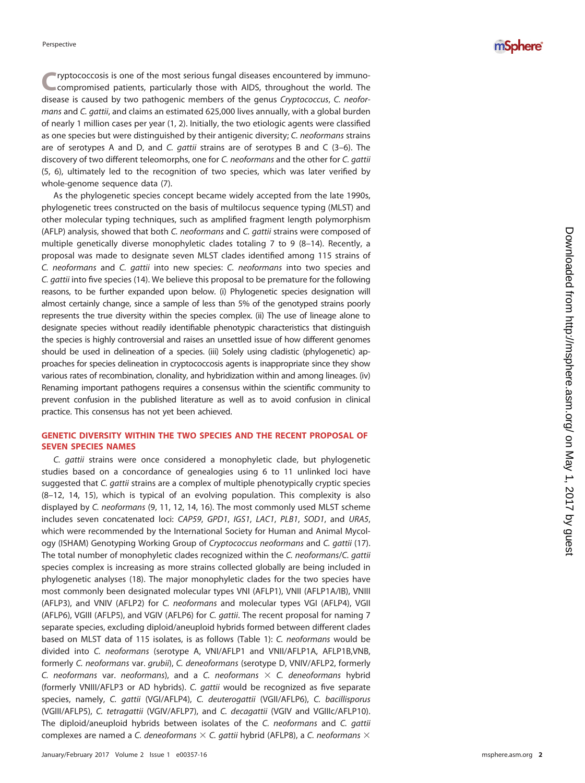*mSphere*<sup>®</sup>

**C**ryptococcosis is one of the most serious fungal diseases encountered by immunocompromised patients, particularly those with AIDS, throughout the world. The disease is caused by two pathogenic members of the genus Cryptococcus, C. neoformans and C. gattii, and claims an estimated 625,000 lives annually, with a global burden of nearly [1](#page-5-0) million cases per year (1, [2\)](#page-5-1). Initially, the two etiologic agents were classified as one species but were distinguished by their antigenic diversity; C. neoformans strains are of serotypes A and D, and C. *gattii* strains are of serotypes B and C  $(3-6)$  $(3-6)$ . The discovery of two different teleomorphs, one for C. neoformans and the other for C. gattii [\(5,](#page-6-0) [6\)](#page-6-1), ultimately led to the recognition of two species, which was later verified by whole-genome sequence data ( [7\)](#page-6-2).

As the phylogenetic species concept became widely accepted from the late 1990s, phylogenetic trees constructed on the basis of multilocus sequence typing (MLST) and other molecular typing techniques, such as amplified fragment length polymorphism (AFLP) analysis, showed that both C. neoformans and C. gattii strains were composed of multiple genetically diverse monophyletic clades totaling 7 to 9 [\(8](#page-6-3)[–](#page-6-4)[14\)](#page-6-5). Recently, a proposal was made to designate seven MLST clades identified among 115 strains of C. neoformans and C. gattii into new species: C. neoformans into two species and C. gattii into five species [\(14\)](#page-6-5). We believe this proposal to be premature for the following reasons, to be further expanded upon below. (i) Phylogenetic species designation will almost certainly change, since a sample of less than 5% of the genotyped strains poorly represents the true diversity within the species complex. (ii) The use of lineage alone to designate species without readily identifiable phenotypic characteristics that distinguish the species is highly controversial and raises an unsettled issue of how different genomes should be used in delineation of a species. (iii) Solely using cladistic (phylogenetic) approaches for species delineation in cryptococcosis agents is inappropriate since they show various rates of recombination, clonality, and hybridization within and among lineages. (iv) Renaming important pathogens requires a consensus within the scientific community to prevent confusion in the published literature as well as to avoid confusion in clinical practice. This consensus has not yet been achieved.

#### **GENETIC DIVERSITY WITHIN THE TWO SPECIES AND THE RECENT PROPOSAL OF SEVEN SPECIES NAMES**

C. gattii strains were once considered a monophyletic clade, but phylogenetic studies based on a concordance of genealogies using 6 to 11 unlinked loci have suggested that C. gattii strains are a complex of multiple phenotypically cryptic species [\(8](#page-6-3)[–](#page-6-6)[12,](#page-6-7) [14,](#page-6-5) [15\)](#page-6-8), which is typical of an evolving population. This complexity is also displayed by C. neoformans ([9](#page-6-9), [11](#page-6-6), [12](#page-6-7), [14](#page-6-5), [16\)](#page-6-10). The most commonly used MLST scheme includes seven concatenated loci: CAP59, GPD1, IGS1, LAC1, PLB1, SOD1, and URA5, which were recommended by the International Society for Human and Animal Mycology (ISHAM) Genotyping Working Group of Cryptococcus neoformans and C. gattii [\(17\)](#page-6-11). The total number of monophyletic clades recognized within the C. neoformans/C. gattii species complex is increasing as more strains collected globally are being included in phylogenetic analyses [\(18\)](#page-6-12). The major monophyletic clades for the two species have most commonly been designated molecular types VNI (AFLP1), VNII (AFLP1A/IB), VNIII (AFLP3), and VNIV (AFLP2) for C. neoformans and molecular types VGI (AFLP4), VGII (AFLP6), VGIII (AFLP5), and VGIV (AFLP6) for C. gattii. The recent proposal for naming 7 separate species, excluding diploid/aneuploid hybrids formed between different clades based on MLST data of 115 isolates, is as follows [\(Table 1\)](#page-3-0): C. neoformans would be divided into C. neoformans (serotype A, VNI/AFLP1 and VNII/AFLP1A, AFLP1B,VNB, formerly C. neoformans var. grubii), C. deneoformans (serotype D, VNIV/AFLP2, formerly C. neoformans var. neoformans), and a C. neoformans  $\times$  C. deneoformans hybrid (formerly VNIII/AFLP3 or AD hybrids). C. gattii would be recognized as five separate species, namely, C. gattii (VGI/AFLP4), C. deuterogattii (VGII/AFLP6), C. bacillisporus (VGIII/AFLP5), C. tetragattii (VGIV/AFLP7), and C. decagattii (VGIV and VGIIIc/AFLP10). The diploid/aneuploid hybrids between isolates of the C. neoformans and C. gattii complexes are named a C. deneoformans  $\times$  C. gattii hybrid (AFLP8), a C. neoformans  $\times$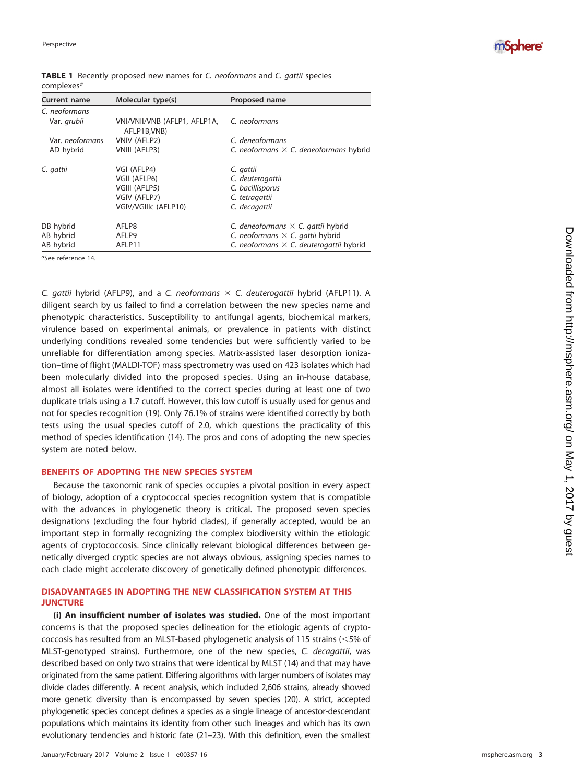

<span id="page-3-0"></span>

|                        |  |  |  | <b>TABLE 1</b> Recently proposed new names for C. neoformans and C. gattii species |  |  |
|------------------------|--|--|--|------------------------------------------------------------------------------------|--|--|
| complexes <sup>a</sup> |  |  |  |                                                                                    |  |  |

| Current name    | Molecular type(s)                            | Proposed name                                  |  |  |  |  |
|-----------------|----------------------------------------------|------------------------------------------------|--|--|--|--|
| C. neoformans   |                                              |                                                |  |  |  |  |
| Var. grubii     | VNI/VNII/VNB (AFLP1, AFLP1A,<br>AFLP1B, VNB) | C. neoformans                                  |  |  |  |  |
| Var. neoformans | VNIV (AFLP2)                                 | C. deneoformans                                |  |  |  |  |
| AD hybrid       | VNIII (AFLP3)                                | C. neoformans $\times$ C. deneoformans hybrid  |  |  |  |  |
| C. gattii       | VGI (AFLP4)                                  | C. gattii                                      |  |  |  |  |
|                 | VGII (AFLP6)                                 | C. deuterogattii                               |  |  |  |  |
|                 | VGIII (AFLP5)                                | C. bacillisporus                               |  |  |  |  |
|                 | VGIV (AFLP7)                                 | C. tetragattii                                 |  |  |  |  |
|                 | VGIV/VGIIIc (AFLP10)                         | C. decagattii                                  |  |  |  |  |
| DB hybrid       | AFLP8                                        | C. deneoformans $\times$ C. gattii hybrid      |  |  |  |  |
| AB hybrid       | AFLP9                                        | C. neoformans $\times$ C. gattii hybrid        |  |  |  |  |
| AB hybrid       | AFLP11                                       | C. neoformans $\times$ C. deuterogattii hybrid |  |  |  |  |

<sup>a</sup>See reference [14](#page-6-5).

C. gattii hybrid (AFLP9), and a C. neoformans  $\times$  C. deuterogattii hybrid (AFLP11). A diligent search by us failed to find a correlation between the new species name and phenotypic characteristics. Susceptibility to antifungal agents, biochemical markers, virulence based on experimental animals, or prevalence in patients with distinct underlying conditions revealed some tendencies but were sufficiently varied to be unreliable for differentiation among species. Matrix-assisted laser desorption ionization–time of flight (MALDI-TOF) mass spectrometry was used on 423 isolates which had been molecularly divided into the proposed species. Using an in-house database, almost all isolates were identified to the correct species during at least one of two duplicate trials using a 1.7 cutoff. However, this low cutoff is usually used for genus and not for species recognition [\(19\)](#page-6-13). Only 76.1% of strains were identified correctly by both tests using the usual species cutoff of 2.0, which questions the practicality of this method of species identification [\(14\)](#page-6-5). The pros and cons of adopting the new species system are noted below.

#### **BENEFITS OF ADOPTING THE NEW SPECIES SYSTEM**

Because the taxonomic rank of species occupies a pivotal position in every aspect of biology, adoption of a cryptococcal species recognition system that is compatible with the advances in phylogenetic theory is critical. The proposed seven species designations (excluding the four hybrid clades), if generally accepted, would be an important step in formally recognizing the complex biodiversity within the etiologic agents of cryptococcosis. Since clinically relevant biological differences between genetically diverged cryptic species are not always obvious, assigning species names to each clade might accelerate discovery of genetically defined phenotypic differences.

#### **DISADVANTAGES IN ADOPTING THE NEW CLASSIFICATION SYSTEM AT THIS JUNCTURE**

**(i) An insufficient number of isolates was studied.** One of the most important concerns is that the proposed species delineation for the etiologic agents of cryptococcosis has resulted from an MLST-based phylogenetic analysis of 115 strains (5% of MLST-genotyped strains). Furthermore, one of the new species, C. decagattii, was described based on only two strains that were identical by MLST [\(14\)](#page-6-5) and that may have originated from the same patient. Differing algorithms with larger numbers of isolates may divide clades differently. A recent analysis, which included 2,606 strains, already showed more genetic diversity than is encompassed by seven species [\(20\)](#page-6-14). A strict, accepted phylogenetic species concept defines a species as a single lineage of ancestor-descendant populations which maintains its identity from other such lineages and which has its own evolutionary tendencies and historic fate [\(21](#page-6-15)[–](#page-6-16)[23\)](#page-6-17). With this definition, even the smallest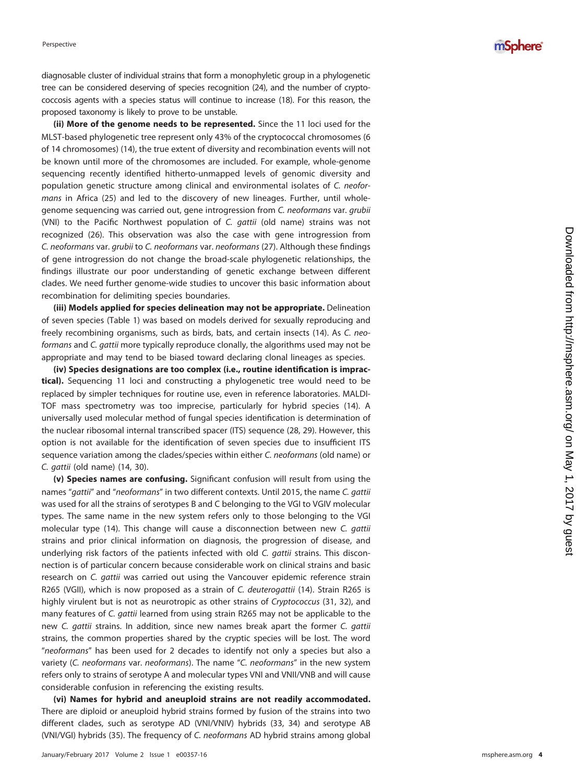diagnosable cluster of individual strains that form a monophyletic group in a phylogenetic tree can be considered deserving of species recognition [\(24\)](#page-6-18), and the number of cryptococcosis agents with a species status will continue to increase [\(18\)](#page-6-12). For this reason, the proposed taxonomy is likely to prove to be unstable.

**(ii) More of the genome needs to be represented.** Since the 11 loci used for the MLST-based phylogenetic tree represent only 43% of the cryptococcal chromosomes (6 of 14 chromosomes) [\(14\)](#page-6-5), the true extent of diversity and recombination events will not be known until more of the chromosomes are included. For example, whole-genome sequencing recently identified hitherto-unmapped levels of genomic diversity and population genetic structure among clinical and environmental isolates of C. neoformans in Africa [\(25\)](#page-6-19) and led to the discovery of new lineages. Further, until wholegenome sequencing was carried out, gene introgression from C. neoformans var. grubii (VNI) to the Pacific Northwest population of C. gattii (old name) strains was not recognized [\(26\)](#page-6-20). This observation was also the case with gene introgression from C. neoformans var. grubii to C. neoformans var. neoformans [\(27\)](#page-6-21). Although these findings of gene introgression do not change the broad-scale phylogenetic relationships, the findings illustrate our poor understanding of genetic exchange between different clades. We need further genome-wide studies to uncover this basic information about recombination for delimiting species boundaries.

**(iii) Models applied for species delineation may not be appropriate.** Delineation of seven species [\(Table 1\)](#page-3-0) was based on models derived for sexually reproducing and freely recombining organisms, such as birds, bats, and certain insects [\(14\)](#page-6-5). As C. neoformans and C. gattii more typically reproduce clonally, the algorithms used may not be appropriate and may tend to be biased toward declaring clonal lineages as species.

**(iv) Species designations are too complex (i.e., routine identification is impractical).** Sequencing 11 loci and constructing a phylogenetic tree would need to be replaced by simpler techniques for routine use, even in reference laboratories. MALDI-TOF mass spectrometry was too imprecise, particularly for hybrid species [\(14\)](#page-6-5). A universally used molecular method of fungal species identification is determination of the nuclear ribosomal internal transcribed spacer (ITS) sequence [\(28](#page-6-22) , [29\)](#page-6-23). However, this option is not available for the identification of seven species due to insufficient ITS sequence variation among the clades/species within either C. neoformans (old name) or C. gattii (old name) [\(14](#page-6-5) , [30\)](#page-6-24).

**(v) Species names are confusing.** Significant confusion will result from using the names "gattii" and "neoformans" in two different contexts. Until 2015, the name C. gattii was used for all the strains of serotypes B and C belonging to the VGI to VGIV molecular types. The same name in the new system refers only to those belonging to the VGI molecular type [\(14\)](#page-6-5). This change will cause a disconnection between new C. gattii strains and prior clinical information on diagnosis, the progression of disease, and underlying risk factors of the patients infected with old C. *gattii* strains. This disconnection is of particular concern because considerable work on clinical strains and basic research on C. gattii was carried out using the Vancouver epidemic reference strain R265 (VGII), which is now proposed as a strain of C. deuterogattii [\(14\)](#page-6-5). Strain R265 is highly virulent but is not as neurotropic as other strains of Cryptococcus [\(31](#page-6-25), [32\)](#page-6-26), and many features of C. gattii learned from using strain R265 may not be applicable to the new C. gattii strains. In addition, since new names break apart the former C. gattii strains, the common properties shared by the cryptic species will be lost. The word "neoformans" has been used for 2 decades to identify not only a species but also a variety (C. neoformans var. neoformans). The name "C. neoformans" in the new system refers only to strains of serotype A and molecular types VNI and VNII/VNB and will cause considerable confusion in referencing the existing results.

**(vi) Names for hybrid and aneuploid strains are not readily accommodated.** There are diploid or aneuploid hybrid strains formed by fusion of the strains into two different clades, such as serotype AD (VNI/VNIV) hybrids [\(33](#page-6-27) , [34\)](#page-6-28) and serotype AB (VNI/VGI) hybrids [\(35\)](#page-6-29). The frequency of C. neoformans AD hybrid strains among global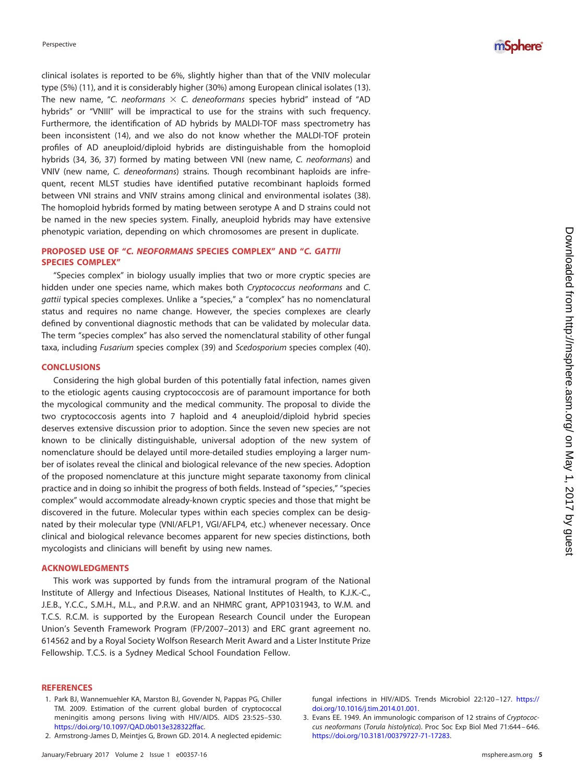clinical isolates is reported to be 6%, slightly higher than that of the VNIV molecular type (5%) [\(11\)](#page-6-6), and it is considerably higher (30%) among European clinical isolates [\(13\)](#page-6-4). The new name, "C. neoformans  $\times$  C. deneoformans species hybrid" instead of "AD hybrids" or "VNIII" will be impractical to use for the strains with such frequency. Furthermore, the identification of AD hybrids by MALDI-TOF mass spectrometry has been inconsistent [\(14\)](#page-6-5), and we also do not know whether the MALDI-TOF protein profiles of AD aneuploid/diploid hybrids are distinguishable from the homoploid hybrids [\(34,](#page-6-28) [36,](#page-6-30) [37\)](#page-6-31) formed by mating between VNI (new name, C. neoformans) and VNIV (new name, C. deneoformans) strains. Though recombinant haploids are infrequent, recent MLST studies have identified putative recombinant haploids formed between VNI strains and VNIV strains among clinical and environmental isolates [\(38\)](#page-6-32). The homoploid hybrids formed by mating between serotype A and D strains could not be named in the new species system. Finally, aneuploid hybrids may have extensive phenotypic variation, depending on which chromosomes are present in duplicate.

#### **PROPOSED USE OF "***C. NEOFORMANS* **SPECIES COMPLEX" AND "***C. GATTII* **SPECIES COMPLEX"**

"Species complex" in biology usually implies that two or more cryptic species are hidden under one species name, which makes both Cryptococcus neoformans and C. gattii typical species complexes. Unlike a "species," a "complex" has no nomenclatural status and requires no name change. However, the species complexes are clearly defined by conventional diagnostic methods that can be validated by molecular data. The term "species complex" has also served the nomenclatural stability of other fungal taxa, including Fusarium species complex [\(39\)](#page-7-0) and Scedosporium species complex [\(40\)](#page-7-1).

#### **CONCLUSIONS**

Considering the high global burden of this potentially fatal infection, names given to the etiologic agents causing cryptococcosis are of paramount importance for both the mycological community and the medical community. The proposal to divide the two cryptococcosis agents into 7 haploid and 4 aneuploid/diploid hybrid species deserves extensive discussion prior to adoption. Since the seven new species are not known to be clinically distinguishable, universal adoption of the new system of nomenclature should be delayed until more-detailed studies employing a larger number of isolates reveal the clinical and biological relevance of the new species. Adoption of the proposed nomenclature at this juncture might separate taxonomy from clinical practice and in doing so inhibit the progress of both fields. Instead of "species," "species complex" would accommodate already-known cryptic species and those that might be discovered in the future. Molecular types within each species complex can be designated by their molecular type (VNI/AFLP1, VGI/AFLP4, etc.) whenever necessary. Once clinical and biological relevance becomes apparent for new species distinctions, both mycologists and clinicians will benefit by using new names.

#### **ACKNOWLEDGMENTS**

This work was supported by funds from the intramural program of the National Institute of Allergy and Infectious Diseases, National Institutes of Health, to K.J.K.-C., J.E.B., Y.C.C., S.M.H., M.L., and P.R.W. and an NHMRC grant, APP1031943, to W.M. and T.C.S. R.C.M. is supported by the European Research Council under the European Union's Seventh Framework Program (FP/2007–2013) and ERC grant agreement no. 614562 and by a Royal Society Wolfson Research Merit Award and a Lister Institute Prize Fellowship. T.C.S. is a Sydney Medical School Foundation Fellow.

#### <span id="page-5-0"></span>**REFERENCES**

- 1. Park BJ, Wannemuehler KA, Marston BJ, Govender N, Pappas PG, Chiller TM. 2009. Estimation of the current global burden of cryptococcal meningitis among persons living with HIV/AIDS. AIDS 23:525–530. [https://doi.org/10.1097/QAD.0b013e328322ffac.](https://doi.org/10.1097/QAD.0b013e328322ffac)
- <span id="page-5-1"></span>2. Armstrong-James D, Meintjes G, Brown GD. 2014. A neglected epidemic:

fungal infections in HIV/AIDS. Trends Microbiol 22:120 –127. [https://](https://doi.org/10.1016/j.tim.2014.01.001) [doi.org/10.1016/j.tim.2014.01.001.](https://doi.org/10.1016/j.tim.2014.01.001)

<span id="page-5-2"></span>3. Evans EE. 1949. An immunologic comparison of 12 strains of Cryptococcus neoformans (Torula histolytica). Proc Soc Exp Biol Med 71:644 – 646. [https://doi.org/10.3181/00379727-71-17283.](https://doi.org/10.3181/00379727-71-17283)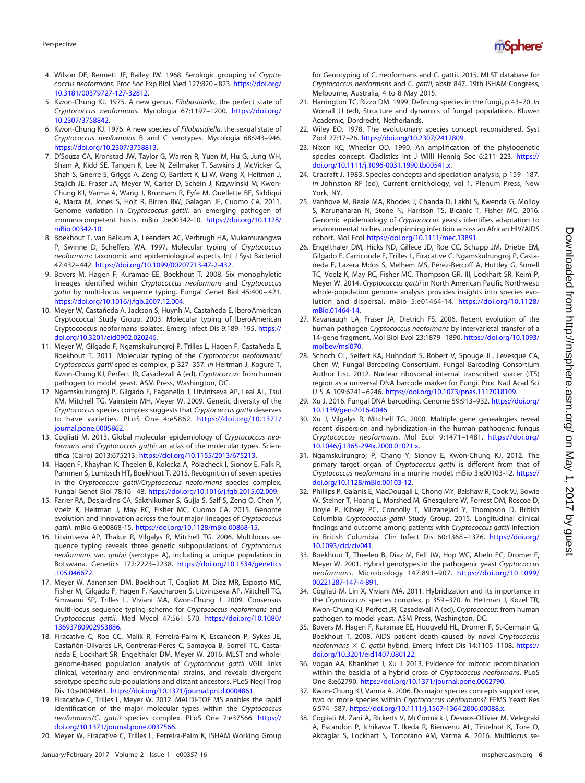

- 4. Wilson DE, Bennett JE, Bailey JW. 1968. Serologic grouping of Cryptococcus neoformans. Proc Soc Exp Biol Med 127:820 – 823. [https://doi.org/](https://doi.org/10.3181/00379727-127-32812) [10.3181/00379727-127-32812.](https://doi.org/10.3181/00379727-127-32812)
- <span id="page-6-0"></span>5. Kwon-Chung KJ. 1975. A new genus, Filobasidiella, the perfect state of Cryptococcus neoformans. Mycologia 67:1197–1200. [https://doi.org/](https://doi.org/10.2307/3758842) [10.2307/3758842.](https://doi.org/10.2307/3758842)
- <span id="page-6-1"></span>6. Kwon-Chung KJ. 1976. A new species of Filobasidiella, the sexual state of Cryptococcus neoformans B and C serotypes. Mycologia 68:943–946. [https://doi.org/10.2307/3758813.](https://doi.org/10.2307/3758813)
- <span id="page-6-2"></span>7. D'Souza CA, Kronstad JW, Taylor G, Warren R, Yuen M, Hu G, Jung WH, Sham A, Kidd SE, Tangen K, Lee N, Zeilmaker T, Sawkins J, McVicker G, Shah S, Gnerre S, Griggs A, Zeng Q, Bartlett K, Li W, Wang X, Heitman J, Stajich JE, Fraser JA, Meyer W, Carter D, Schein J, Krzywinski M, Kwon-Chung KJ, Varma A, Wang J, Brunham R, Fyfe M, Ouellette BF, Siddiqui A, Marra M, Jones S, Holt R, Birren BW, Galagan JE, Cuomo CA. 2011. Genome variation in Cryptococcus gattii, an emerging pathogen of immunocompetent hosts. mBio 2:e00342-10. [https://doi.org/10.1128/](https://doi.org/10.1128/mBio.00342-10) [mBio.00342-10.](https://doi.org/10.1128/mBio.00342-10)
- <span id="page-6-3"></span>8. Boekhout T, van Belkum A, Leenders AC, Verbrugh HA, Mukamurangwa P, Swinne D, Scheffers WA. 1997. Molecular typing of Cryptococcus neoformans: taxonomic and epidemiological aspects. Int J Syst Bacteriol 47:432– 442. [https://doi.org/10.1099/00207713-47-2-432.](https://doi.org/10.1099/00207713-47-2-432)
- <span id="page-6-9"></span>9. Bovers M, Hagen F, Kuramae EE, Boekhout T. 2008. Six monophyletic lineages identified within Cryptococcus neoformans and Cryptococcus gattii by multi-locus sequence typing. Fungal Genet Biol 45:400-421. [https://doi.org/10.1016/j.fgb.2007.12.004.](https://doi.org/10.1016/j.fgb.2007.12.004)
- 10. Meyer W, Castañeda A, Jackson S, Huynh M, Castañeda E, IberoAmerican Cryptococcal Study Group. 2003. Molecular typing of IberoAmerican Cryptococcus neoformans isolates. Emerg Infect Dis 9:189 –195. [https://](https://doi.org/10.3201/eid0902.020246) [doi.org/10.3201/eid0902.020246.](https://doi.org/10.3201/eid0902.020246)
- <span id="page-6-6"></span>11. Meyer W, Gilgado F, Ngamskulrungroj P, Trilles L, Hagen F, Castañeda E, Boekhout T. 2011. Molecular typing of the Cryptococcus neoformans/ Cryptococcus gattii species complex, p 327–357. In Heitman J, Kogure T, Kwon-Chung KJ, Perfect JR, Casadevall A (ed), Cryptococcus: from human pathogen to model yeast. ASM Press, Washington, DC.
- <span id="page-6-7"></span>12. Ngamskulrungroj P, Gilgado F, Faganello J, Litvintseva AP, Leal AL, Tsui KM, Mitchell TG, Vainstein MH, Meyer W. 2009. Genetic diversity of the Cryptococcus species complex suggests that Cryptococcus gattii deserves to have varieties. PLoS One 4:e5862. [https://doi.org/10.1371/](https://doi.org/10.1371/journal.pone.0005862) [journal.pone.0005862.](https://doi.org/10.1371/journal.pone.0005862)
- <span id="page-6-5"></span><span id="page-6-4"></span>13. Cogliati M. 2013. Global molecular epidemiology of Cryptococcus neoformans and Cryptococcus gattii: an atlas of the molecular types. Scientifica (Cairo) 2013:675213. [https://doi.org/10.1155/2013/675213.](https://doi.org/10.1155/2013/675213)
- 14. Hagen F, Khayhan K, Theelen B, Kolecka A, Polacheck I, Sionov E, Falk R, Parnmen S, Lumbsch HT, Boekhout T. 2015. Recognition of seven species in the Cryptococcus gattii/Cryptococcus neoformans species complex. Fungal Genet Biol 78:16 – 48. [https://doi.org/10.1016/j.fgb.2015.02.009.](https://doi.org/10.1016/j.fgb.2015.02.009)
- <span id="page-6-8"></span>15. Farrer RA, Desjardins CA, Sakthikumar S, Gujja S, Saif S, Zeng Q, Chen Y, Voelz K, Heitman J, May RC, Fisher MC, Cuomo CA. 2015. Genome evolution and innovation across the four major lineages of Cryptococcus gattii. mBio 6:e00868-15. [https://doi.org/10.1128/mBio.00868-15.](https://doi.org/10.1128/mBio.00868-15)
- <span id="page-6-10"></span>16. Litvintseva AP, Thakur R, Vilgalys R, Mitchell TG. 2006. Multilocus sequence typing reveals three genetic subpopulations of Cryptococcus neoformans var. grubii (serotype A), including a unique population in Botswana. Genetics 172:2223–2238. [https://doi.org/10.1534/genetics](https://doi.org/10.1534/genetics.105.046672) [.105.046672.](https://doi.org/10.1534/genetics.105.046672)
- <span id="page-6-11"></span>17. Meyer W, Aanensen DM, Boekhout T, Cogliati M, Diaz MR, Esposto MC, Fisher M, Gilgado F, Hagen F, Kaocharoen S, Litvintseva AP, Mitchell TG, Simwami SP, Trilles L, Viviani MA, Kwon-Chung J. 2009. Consensus multi-locus sequence typing scheme for Cryptococcus neoformans and Cryptococcus gattii. Med Mycol 47:561–570. [https://doi.org/10.1080/](https://doi.org/10.1080/13693780902953886) [13693780902953886.](https://doi.org/10.1080/13693780902953886)
- <span id="page-6-12"></span>18. Firacative C, Roe CC, Malik R, Ferreira-Paim K, Escandón P, Sykes JE, Castañón-Olivares LR, Contreras-Peres C, Samayoa B, Sorrell TC, Castañeda E, Lockhart SR, Engelthaler DM, Meyer W. 2016. MLST and wholegenome-based population analysis of Cryptococcus gattii VGIII links clinical, veterinary and environmental strains, and reveals divergent serotype specific sub-populations and distant ancestors. PLoS Negl Trop Dis 10:e0004861. [https://doi.org/10.1371/journal.pntd.0004861.](https://doi.org/10.1371/journal.pntd.0004861)
- <span id="page-6-13"></span>19. Firacative C, Trilles L, Meyer W. 2012. MALDI-TOF MS enables the rapid identification of the major molecular types within the Cryptococcus neoformans/C. gattii species complex. PLoS One 7:e37566. [https://](https://doi.org/10.1371/journal.pone.0037566) [doi.org/10.1371/journal.pone.0037566.](https://doi.org/10.1371/journal.pone.0037566)
- <span id="page-6-14"></span>20. Meyer W, Firacative C, Trilles L, Ferreira-Paim K, ISHAM Working Group
- <span id="page-6-15"></span>21. Harrington TC, Rizzo DM. 1999. Defining species in the fungi, p 43–70. In Worrall JJ (ed), Structure and dynamics of fungal populations. Kluwer Academic, Dordrecht, Netherlands.
- <span id="page-6-17"></span><span id="page-6-16"></span>22. Wiley EO. 1978. The evolutionary species concept reconsidered. Syst Zool 27:17–26. [https://doi.org/10.2307/2412809.](https://doi.org/10.2307/2412809)
- 23. Nixon KC, Wheeler QD. 1990. An amplification of the phylogenetic species concept. Cladistics Int J Willi Hennig Soc 6:211–223. [https://](https://doi.org/10.1111/j.1096-0031.1990.tb00541.x) [doi.org/10.1111/j.1096-0031.1990.tb00541.x.](https://doi.org/10.1111/j.1096-0031.1990.tb00541.x)
- <span id="page-6-18"></span>24. Cracraft J. 1983. Species concepts and speciation analysis, p 159 –187. In Johnston RF (ed), Current ornithology, vol 1. Plenum Press, New York, NY.
- <span id="page-6-19"></span>25. Vanhove M, Beale MA, Rhodes J, Chanda D, Lakhi S, Kwenda G, Molloy S, Karunaharan N, Stone N, Harrison TS, Bicanic T, Fisher MC. 2016. Genomic epidemiology of Cryptococcus yeasts identifies adaptation to environmental niches underpinning infection across an African HIV/AIDS cohort. Mol Ecol [https://doi.org/10.1111/mec.13891.](https://doi.org/10.1111/mec.13891)
- <span id="page-6-20"></span>26. Engelthaler DM, Hicks ND, Gillece JD, Roe CC, Schupp JM, Driebe EM, Gilgado F, Carriconde F, Trilles L, Firacative C, Ngamskulrungroj P, Castañeda E, Lazera Mdos S, Melhem MS, Pérez-Bercoff A, Huttley G, Sorrell TC, Voelz K, May RC, Fisher MC, Thompson GR, III, Lockhart SR, Keim P, Meyer W. 2014. Cryptococcus gattii in North American Pacific Northwest: whole-population genome analysis provides insights into species evolution and dispersal. mBio 5:e01464-14. [https://doi.org/10.1128/](https://doi.org/10.1128/mBio.01464-14) [mBio.01464-14.](https://doi.org/10.1128/mBio.01464-14)
- <span id="page-6-21"></span>27. Kavanaugh LA, Fraser JA, Dietrich FS. 2006. Recent evolution of the human pathogen Cryptococcus neoformans by intervarietal transfer of a 14-gene fragment. Mol Biol Evol 23:1879 –1890. [https://doi.org/10.1093/](https://doi.org/10.1093/molbev/msl070) [molbev/msl070.](https://doi.org/10.1093/molbev/msl070)
- <span id="page-6-22"></span>28. Schoch CL, Seifert KA, Huhndorf S, Robert V, Spouge JL, Levesque CA, Chen W, Fungal Barcoding Consortium, Fungal Barcoding Consortium Author List. 2012. Nuclear ribosomal internal transcribed spacer (ITS) region as a universal DNA barcode marker for Fungi. Proc Natl Acad Sci U S A 109:6241– 6246. [https://doi.org/10.1073/pnas.1117018109.](https://doi.org/10.1073/pnas.1117018109)
- <span id="page-6-24"></span><span id="page-6-23"></span>29. Xu J. 2016. Fungal DNA barcoding. Genome 59:913–932. [https://doi.org/](https://doi.org/10.1139/gen-2016-0046) [10.1139/gen-2016-0046.](https://doi.org/10.1139/gen-2016-0046)
- 30. Xu J, Vilgalys R, Mitchell TG. 2000. Multiple gene genealogies reveal recent dispersion and hybridization in the human pathogenic fungus Cryptococcus neoformans. Mol Ecol 9:1471–1481. [https://doi.org/](https://doi.org/10.1046/j.1365-294x.2000.01021.x) [10.1046/j.1365-294x.2000.01021.x.](https://doi.org/10.1046/j.1365-294x.2000.01021.x)
- <span id="page-6-25"></span>31. Ngamskulrungroj P, Chang Y, Sionov E, Kwon-Chung KJ. 2012. The primary target organ of Cryptococcus gattii is different from that of Cryptococcus neoformans in a murine model. mBio 3:e00103-12. [https://](https://doi.org/10.1128/mBio.00103-12) [doi.org/10.1128/mBio.00103-12.](https://doi.org/10.1128/mBio.00103-12)
- <span id="page-6-26"></span>32. Phillips P, Galanis E, MacDougall L, Chong MY, Balshaw R, Cook VJ, Bowie W, Steiner T, Hoang L, Morshed M, Ghesquiere W, Forrest DM, Roscoe D, Doyle P, Kibsey PC, Connolly T, Mirzanejad Y, Thompson D, British Columbia Cryptococcus gattii Study Group. 2015. Longitudinal clinical findings and outcome among patients with Cryptococcus gattii infection in British Columbia. Clin Infect Dis 60:1368 –1376. [https://doi.org/](https://doi.org/10.1093/cid/civ041) [10.1093/cid/civ041.](https://doi.org/10.1093/cid/civ041)
- <span id="page-6-27"></span>33. Boekhout T, Theelen B, Diaz M, Fell JW, Hop WC, Abeln EC, Dromer F, Meyer W. 2001. Hybrid genotypes in the pathogenic yeast Cryptococcus neoformans. Microbiology 147:891–907. [https://doi.org/10.1099/](https://doi.org/10.1099/00221287-147-4-891) [00221287-147-4-891.](https://doi.org/10.1099/00221287-147-4-891)
- <span id="page-6-28"></span>34. Cogliati M, Lin X, Viviani MA. 2011. Hybridization and its importance in the Cryptococcus species complex, p 359 –370. In Heitman J, Kozel TR, Kwon-Chung KJ, Perfect JR, Casadevall A (ed), Cryptococcus: from human pathogen to model yeast. ASM Press, Washington, DC.
- <span id="page-6-29"></span>35. Bovers M, Hagen F, Kuramae EE, Hoogveld HL, Dromer F, St-Germain G, Boekhout T. 2008. AIDS patient death caused by novel Cryptococcus neoformans  $\times$  C. gattii hybrid. Emerg Infect Dis 14:1105–1108. [https://](https://doi.org/10.3201/eid1407.080122) [doi.org/10.3201/eid1407.080122.](https://doi.org/10.3201/eid1407.080122)
- <span id="page-6-31"></span><span id="page-6-30"></span>36. Vogan AA, Khankhet J, Xu J. 2013. Evidence for mitotic recombination within the basidia of a hybrid cross of Cryptococcus neoformans. PLoS One 8:e62790. [https://doi.org/10.1371/journal.pone.0062790.](https://doi.org/10.1371/journal.pone.0062790)
- <span id="page-6-32"></span>37. Kwon-Chung KJ, Varma A. 2006. Do major species concepts support one, two or more species within Cryptococcus neoformans? FEMS Yeast Res 6:574 –587. [https://doi.org/10.1111/j.1567-1364.2006.00088.x.](https://doi.org/10.1111/j.1567-1364.2006.00088.x)
- 38. Cogliati M, Zani A, Rickerts V, McCormick I, Desnos-Ollivier M, Velegraki A, Escandon P, Ichikawa T, Ikeda R, Bienvenu AL, Tintelnot K, Tore O, Akcaglar S, Lockhart S, Tortorano AM, Varma A. 2016. Multilocus se-